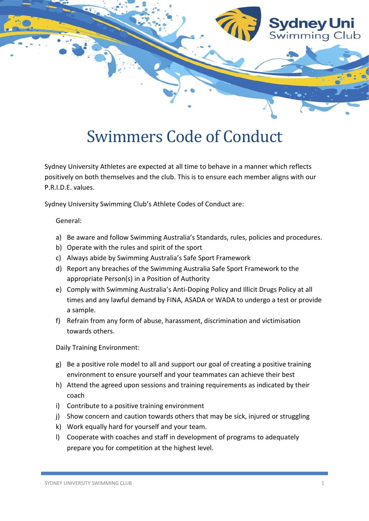

## Swimmers Code of Conduct

Sydney University Athletes are expected at all time to behave in a manner which reflects positively on both themselves and the club. This is to ensure each member aligns with our P.R.I.D.E. values.

Sydney University Swimming Club's Athlete Codes of Conduct are:

General:

- a) Be aware and follow Swimming Australia's Standards, rules, policies and procedures.
- b) Operate with the rules and spirit of the sport
- c) Always abide by Swimming Australia's Safe Sport Framework
- d) Report any breaches of the Swimming Australia Safe Sport Framework to the appropriate Person(s) in a Position of Authority
- e) Comply with Swimming Australia's Anti-Doping Policy and Illicit Drugs Policy at all times and any lawful demand by FINA, ASADA or WADA to undergo a test or provide a sample.
- f) Refrain from any form of abuse, harassment, discrimination and victimisation towards others.

Daily Training Environment:

- g) Be a positive role model to all and support our goal of creating a positive training environment to ensure yourself and your teammates can achieve their best
- h) Attend the agreed upon sessions and training requirements as indicated by their coach
- i) Contribute to a positive training environment
- j) Show concern and caution towards others that may be sick, injured or struggling
- k) Work equally hard for yourself and your team.
- l) Cooperate with coaches and staff in development of programs to adequately prepare you for competition at the highest level.